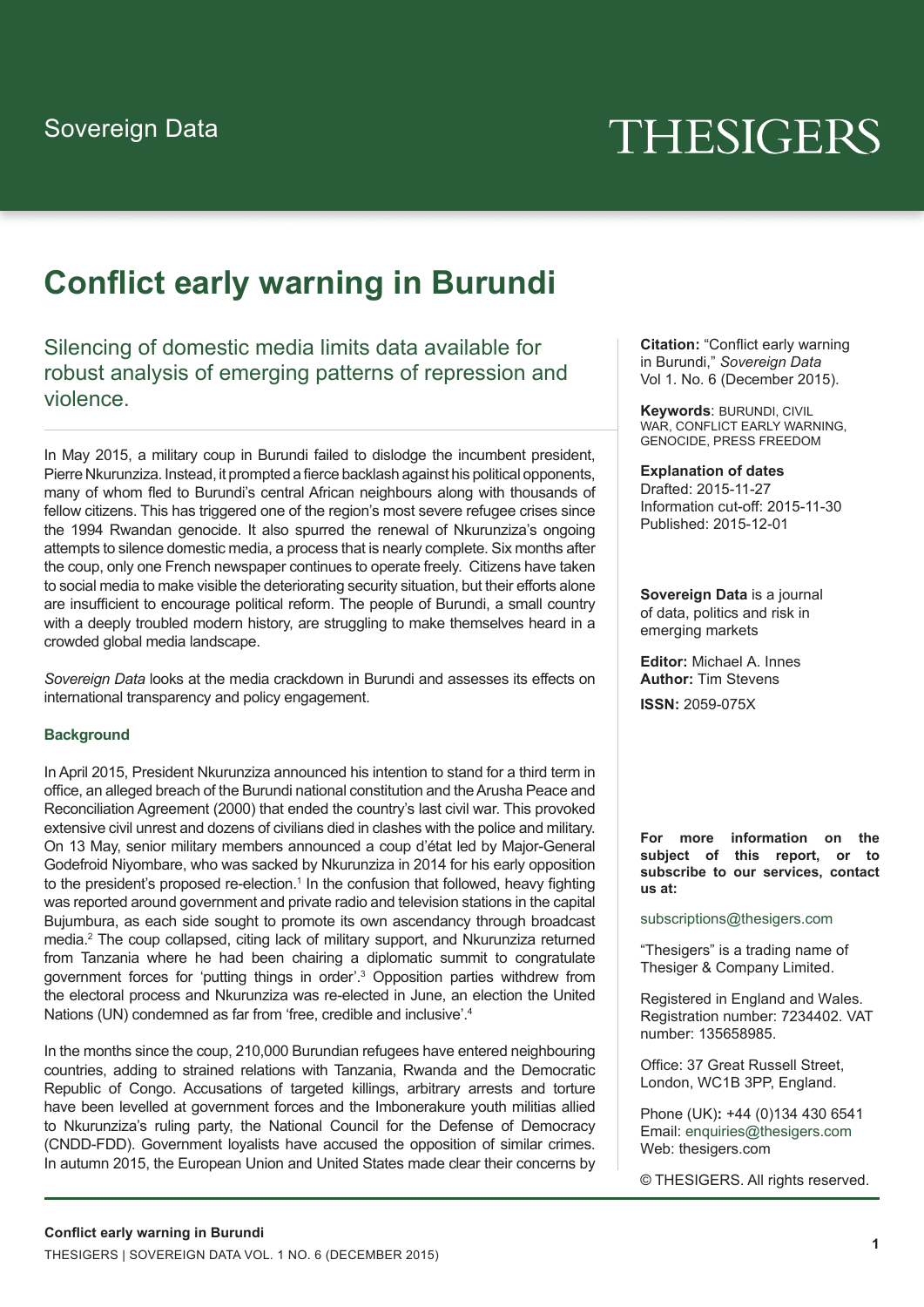# THESIGERS

# **Conflict early warning in Burundi**

Silencing of domestic media limits data available for robust analysis of emerging patterns of repression and violence.

In May 2015, a military coup in Burundi failed to dislodge the incumbent president, Pierre Nkurunziza. Instead, it prompted a fierce backlash against his political opponents, many of whom fled to Burundi's central African neighbours along with thousands of fellow citizens. This has triggered one of the region's most severe refugee crises since the 1994 Rwandan genocide. It also spurred the renewal of Nkurunziza's ongoing attempts to silence domestic media, a process that is nearly complete. Six months after the coup, only one French newspaper continues to operate freely. Citizens have taken to social media to make visible the deteriorating security situation, but their efforts alone are insufficient to encourage political reform. The people of Burundi, a small country with a deeply troubled modern history, are struggling to make themselves heard in a crowded global media landscape.

*Sovereign Data* looks at the media crackdown in Burundi and assesses its effects on international transparency and policy engagement.

# **Background**

In April 2015, President Nkurunziza announced his intention to stand for a third term in office, an alleged breach of the Burundi national constitution and the Arusha Peace and Reconciliation Agreement (2000) that ended the country's last civil war. This provoked extensive civil unrest and dozens of civilians died in clashes with the police and military. On 13 May, senior military members announced a coup d'état led by Major-General Godefroid Niyombare, who was sacked by Nkurunziza in 2014 for his early opposition to the president's proposed re-election.<sup>1</sup> In the confusion that followed, heavy fighting was reported around government and private radio and television stations in the capital Bujumbura, as each side sought to promote its own ascendancy through broadcast media.2 The coup collapsed, citing lack of military support, and Nkurunziza returned from Tanzania where he had been chairing a diplomatic summit to congratulate government forces for 'putting things in order'.<sup>3</sup> Opposition parties withdrew from the electoral process and Nkurunziza was re-elected in June, an election the United Nations (UN) condemned as far from 'free, credible and inclusive'.<sup>4</sup>

In the months since the coup, 210,000 Burundian refugees have entered neighbouring countries, adding to strained relations with Tanzania, Rwanda and the Democratic Republic of Congo. Accusations of targeted killings, arbitrary arrests and torture have been levelled at government forces and the Imbonerakure youth militias allied to Nkurunziza's ruling party, the National Council for the Defense of Democracy (CNDD-FDD). Government loyalists have accused the opposition of similar crimes. In autumn 2015, the European Union and United States made clear their concerns by

**Citation:** "Conflict early warning in Burundi," *Sovereign Data* Vol 1. No. 6 (December 2015).

**Keywords**: BURUNDI, CIVIL WAR, CONFLICT EARLY WARNING, GENOCIDE, PRESS FREEDOM

**Explanation of dates** Drafted: 2015-11-27 Information cut-off: 2015-11-30 Published: 2015-12-01

**Sovereign Data** is a journal of data, politics and risk in emerging markets

**Editor:** Michael A. Innes **Author:** Tim Stevens **ISSN:** 2059-075X

**For more information on the subject of this report, or to subscribe to our services, contact us at:**

subscriptions@thesigers.com

"Thesigers" is a trading name of Thesiger & Company Limited.

Registered in England and Wales. Registration number: 7234402. VAT number: 135658985.

Office: 37 Great Russell Street, London, WC1B 3PP, England.

Phone (UK)**:** +44 (0)134 430 6541 Email: enquiries@thesigers.com Web: thesigers.com

© THESIGERS. All rights reserved.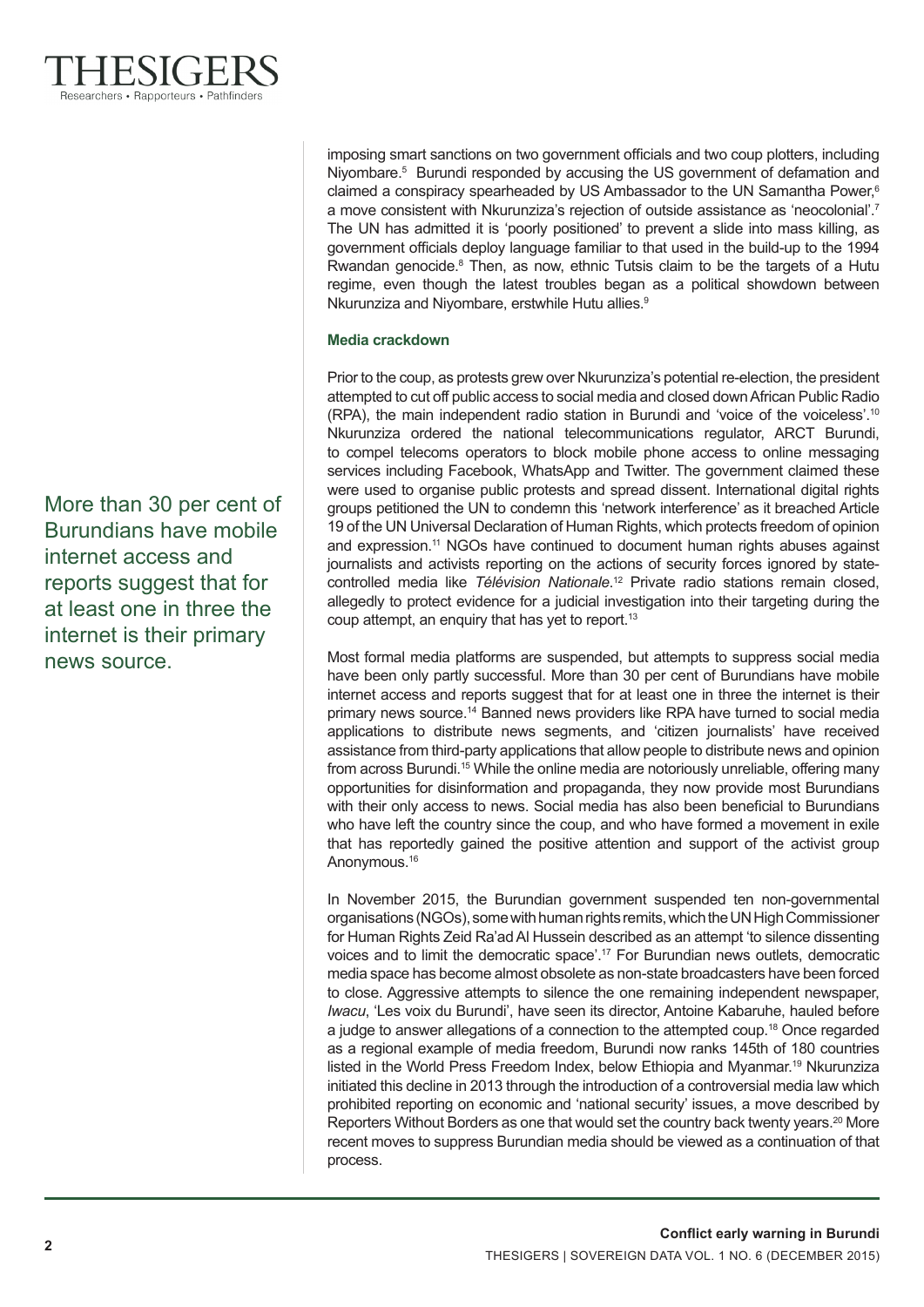More than 30 per cent of Burundians have mobile internet access and reports suggest that for at least one in three the internet is their primary news source.

imposing smart sanctions on two government officials and two coup plotters, including Niyombare.5 Burundi responded by accusing the US government of defamation and claimed a conspiracy spearheaded by US Ambassador to the UN Samantha Power,<sup>6</sup> a move consistent with Nkurunziza's rejection of outside assistance as 'neocolonial'.7 The UN has admitted it is 'poorly positioned' to prevent a slide into mass killing, as government officials deploy language familiar to that used in the build-up to the 1994 Rwandan genocide.<sup>8</sup> Then, as now, ethnic Tutsis claim to be the targets of a Hutu regime, even though the latest troubles began as a political showdown between Nkurunziza and Niyombare, erstwhile Hutu allies.<sup>9</sup>

# **Media crackdown**

Prior to the coup, as protests grew over Nkurunziza's potential re-election, the president attempted to cut off public access to social media and closed down African Public Radio (RPA), the main independent radio station in Burundi and 'voice of the voiceless'.<sup>10</sup> Nkurunziza ordered the national telecommunications regulator, ARCT Burundi, to compel telecoms operators to block mobile phone access to online messaging services including Facebook, WhatsApp and Twitter. The government claimed these were used to organise public protests and spread dissent. International digital rights groups petitioned the UN to condemn this 'network interference' as it breached Article 19 of the UN Universal Declaration of Human Rights, which protects freedom of opinion and expression.<sup>11</sup> NGOs have continued to document human rights abuses against journalists and activists reporting on the actions of security forces ignored by statecontrolled media like *Télévision Nationale*. 12 Private radio stations remain closed, allegedly to protect evidence for a judicial investigation into their targeting during the coup attempt, an enquiry that has yet to report.<sup>13</sup>

Most formal media platforms are suspended, but attempts to suppress social media have been only partly successful. More than 30 per cent of Burundians have mobile internet access and reports suggest that for at least one in three the internet is their primary news source.14 Banned news providers like RPA have turned to social media applications to distribute news segments, and 'citizen journalists' have received assistance from third-party applications that allow people to distribute news and opinion from across Burundi.<sup>15</sup> While the online media are notoriously unreliable, offering many opportunities for disinformation and propaganda, they now provide most Burundians with their only access to news. Social media has also been beneficial to Burundians who have left the country since the coup, and who have formed a movement in exile that has reportedly gained the positive attention and support of the activist group Anonymous.<sup>16</sup>

In November 2015, the Burundian government suspended ten non-governmental organisations (NGOs), some with human rights remits, which the UN High Commissioner for Human Rights Zeid Ra'ad Al Hussein described as an attempt 'to silence dissenting voices and to limit the democratic space'.17 For Burundian news outlets, democratic media space has become almost obsolete as non-state broadcasters have been forced to close. Aggressive attempts to silence the one remaining independent newspaper, *Iwacu*, 'Les voix du Burundi', have seen its director, Antoine Kabaruhe, hauled before a judge to answer allegations of a connection to the attempted coup.18 Once regarded as a regional example of media freedom, Burundi now ranks 145th of 180 countries listed in the World Press Freedom Index, below Ethiopia and Myanmar.19 Nkurunziza initiated this decline in 2013 through the introduction of a controversial media law which prohibited reporting on economic and 'national security' issues, a move described by Reporters Without Borders as one that would set the country back twenty years.<sup>20</sup> More recent moves to suppress Burundian media should be viewed as a continuation of that process.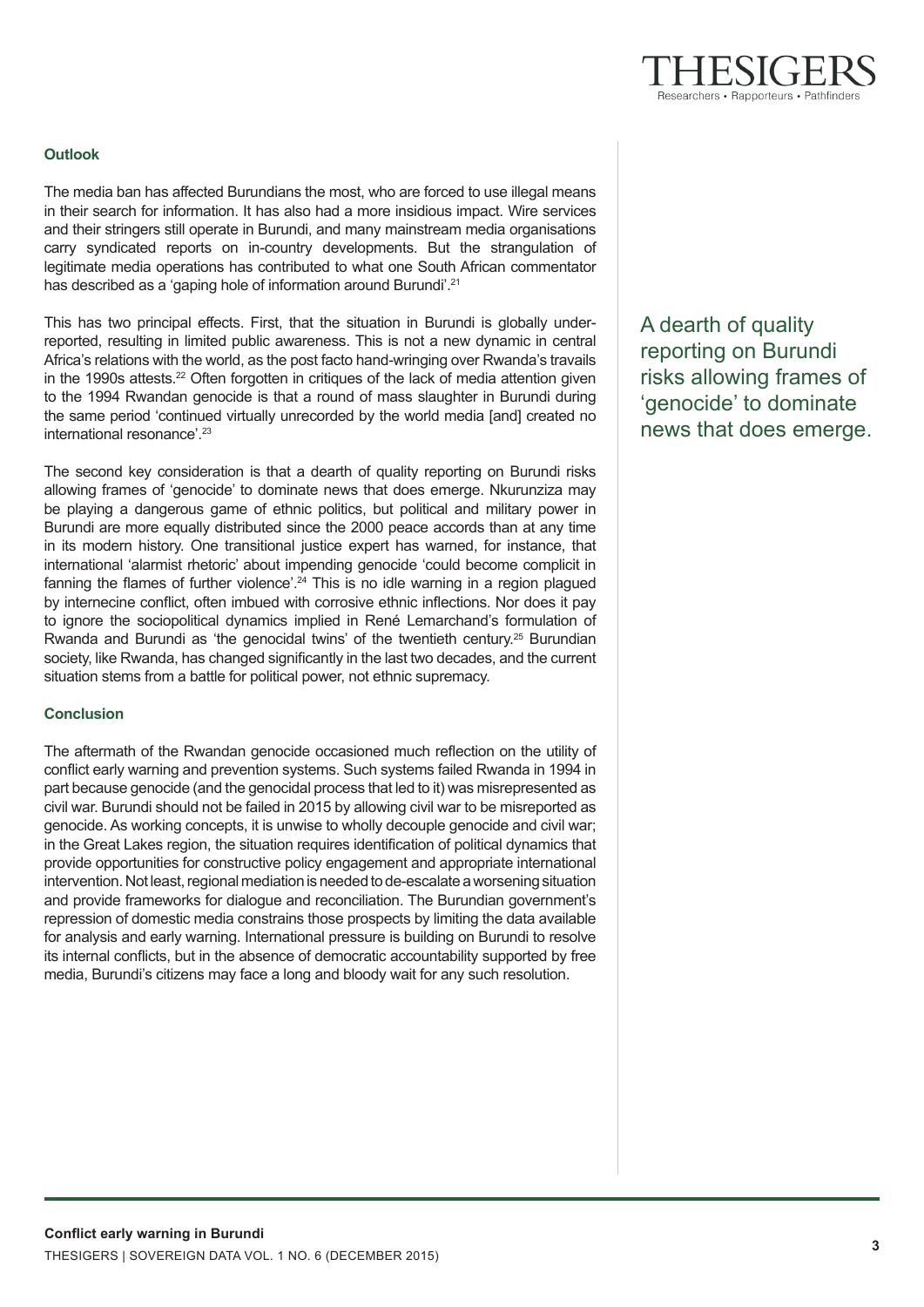

# **Outlook**

The media ban has affected Burundians the most, who are forced to use illegal means in their search for information. It has also had a more insidious impact. Wire services and their stringers still operate in Burundi, and many mainstream media organisations carry syndicated reports on in-country developments. But the strangulation of legitimate media operations has contributed to what one South African commentator has described as a 'gaping hole of information around Burundi'.<sup>21</sup>

This has two principal effects. First, that the situation in Burundi is globally underreported, resulting in limited public awareness. This is not a new dynamic in central Africa's relations with the world, as the post facto hand-wringing over Rwanda's travails in the 1990s attests.<sup>22</sup> Often forgotten in critiques of the lack of media attention given to the 1994 Rwandan genocide is that a round of mass slaughter in Burundi during the same period 'continued virtually unrecorded by the world media [and] created no international resonance'.<sup>23</sup>

The second key consideration is that a dearth of quality reporting on Burundi risks allowing frames of 'genocide' to dominate news that does emerge. Nkurunziza may be playing a dangerous game of ethnic politics, but political and military power in Burundi are more equally distributed since the 2000 peace accords than at any time in its modern history. One transitional justice expert has warned, for instance, that international 'alarmist rhetoric' about impending genocide 'could become complicit in fanning the flames of further violence'.<sup>24</sup> This is no idle warning in a region plagued by internecine conflict, often imbued with corrosive ethnic inflections. Nor does it pay to ignore the sociopolitical dynamics implied in René Lemarchand's formulation of Rwanda and Burundi as 'the genocidal twins' of the twentieth century.25 Burundian society, like Rwanda, has changed significantly in the last two decades, and the current situation stems from a battle for political power, not ethnic supremacy.

## **Conclusion**

The aftermath of the Rwandan genocide occasioned much reflection on the utility of conflict early warning and prevention systems. Such systems failed Rwanda in 1994 in part because genocide (and the genocidal process that led to it) was misrepresented as civil war. Burundi should not be failed in 2015 by allowing civil war to be misreported as genocide. As working concepts, it is unwise to wholly decouple genocide and civil war; in the Great Lakes region, the situation requires identification of political dynamics that provide opportunities for constructive policy engagement and appropriate international intervention. Not least, regional mediation is needed to de-escalate a worsening situation and provide frameworks for dialogue and reconciliation. The Burundian government's repression of domestic media constrains those prospects by limiting the data available for analysis and early warning. International pressure is building on Burundi to resolve its internal conflicts, but in the absence of democratic accountability supported by free media, Burundi's citizens may face a long and bloody wait for any such resolution.

A dearth of quality reporting on Burundi risks allowing frames of 'genocide' to dominate news that does emerge.